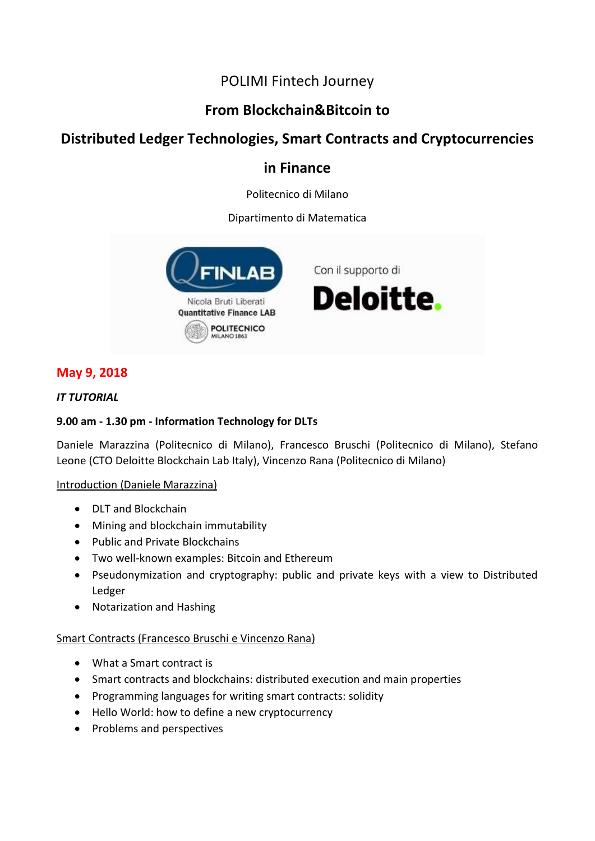# POLIMI Fintech Journey

# **From Blockchain&Bitcoin to**

# **Distributed Ledger Technologies, Smart Contracts and Cryptocurrencies**

# **in Finance**

Politecnico di Milano

# Dipartimento di Matematica



# **May 9, 2018**

# *IT TUTORIAL*

# **9.00 am - 1.30 pm - Information Technology for DLTs**

Daniele Marazzina (Politecnico di Milano), Francesco Bruschi (Politecnico di Milano), Stefano Leone (CTO Deloitte Blockchain Lab Italy), Vincenzo Rana (Politecnico di Milano)

# Introduction (Daniele Marazzina)

- DLT and Blockchain
- Mining and blockchain immutability
- Public and Private Blockchains
- Two well-known examples: Bitcoin and Ethereum
- Pseudonymization and cryptography: public and private keys with a view to Distributed Ledger
- Notarization and Hashing

# Smart Contracts (Francesco Bruschi e Vincenzo Rana)

- What a Smart contract is
- Smart contracts and blockchains: distributed execution and main properties
- Programming languages for writing smart contracts: solidity
- Hello World: how to define a new cryptocurrency
- Problems and perspectives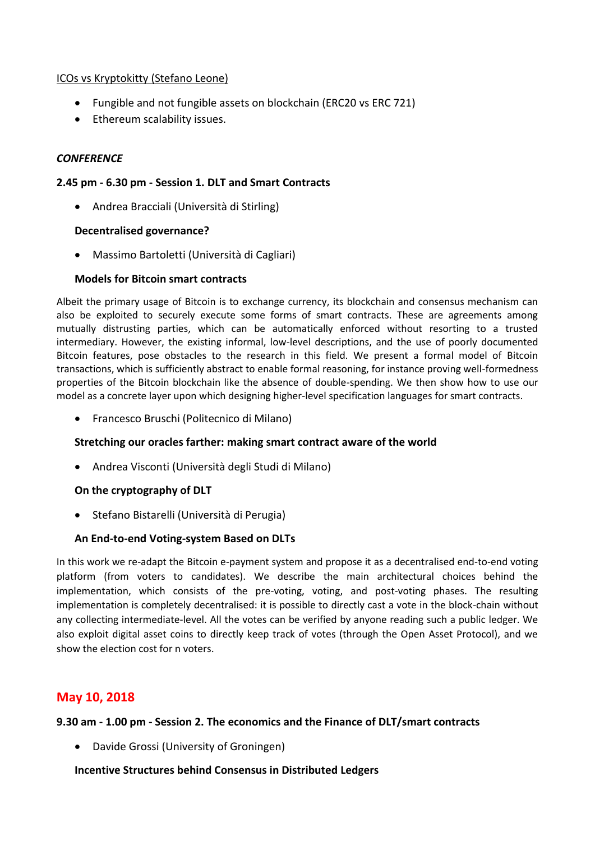### ICOs vs Kryptokitty (Stefano Leone)

- Fungible and not fungible assets on blockchain (ERC20 vs ERC 721)
- Ethereum scalability issues.

## *CONFERENCE*

### **2.45 pm - 6.30 pm - Session 1. DLT and Smart Contracts**

Andrea Bracciali (Università di Stirling)

### **Decentralised governance?**

Massimo Bartoletti (Università di Cagliari)

## **Models for Bitcoin smart contracts**

Albeit the primary usage of Bitcoin is to exchange currency, its blockchain and consensus mechanism can also be exploited to securely execute some forms of smart contracts. These are agreements among mutually distrusting parties, which can be automatically enforced without resorting to a trusted intermediary. However, the existing informal, low-level descriptions, and the use of poorly documented Bitcoin features, pose obstacles to the research in this field. We present a formal model of Bitcoin transactions, which is sufficiently abstract to enable formal reasoning, for instance proving well-formedness properties of the Bitcoin blockchain like the absence of double-spending. We then show how to use our model as a concrete layer upon which designing higher-level specification languages for smart contracts.

Francesco Bruschi (Politecnico di Milano)

### **Stretching our oracles farther: making smart contract aware of the world**

Andrea Visconti (Università degli Studi di Milano)

### **On the cryptography of DLT**

Stefano Bistarelli (Università di Perugia)

### **An End-to-end Voting-system Based on DLTs**

In this work we re-adapt the Bitcoin e-payment system and propose it as a decentralised end-to-end voting platform (from voters to candidates). We describe the main architectural choices behind the implementation, which consists of the pre-voting, voting, and post-voting phases. The resulting implementation is completely decentralised: it is possible to directly cast a vote in the block-chain without any collecting intermediate-level. All the votes can be verified by anyone reading such a public ledger. We also exploit digital asset coins to directly keep track of votes (through the Open Asset Protocol), and we show the election cost for n voters.

# **May 10, 2018**

# **9.30 am - 1.00 pm - Session 2. The economics and the Finance of DLT/smart contracts**

Davide Grossi (University of Groningen)

**Incentive Structures behind Consensus in Distributed Ledgers**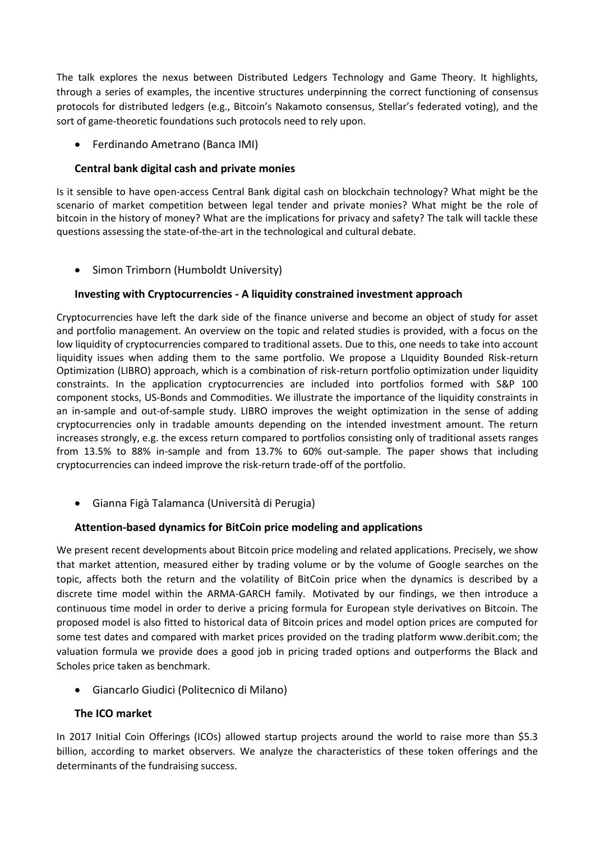The talk explores the nexus between Distributed Ledgers Technology and Game Theory. It highlights, through a series of examples, the incentive structures underpinning the correct functioning of consensus protocols for distributed ledgers (e.g., Bitcoin's Nakamoto consensus, Stellar's federated voting), and the sort of game-theoretic foundations such protocols need to rely upon.

Ferdinando Ametrano (Banca IMI)

# **Central bank digital cash and private monies**

Is it sensible to have open-access Central Bank digital cash on blockchain technology? What might be the scenario of market competition between legal tender and private monies? What might be the role of bitcoin in the history of money? What are the implications for privacy and safety? The talk will tackle these questions assessing the state-of-the-art in the technological and cultural debate.

• Simon Trimborn (Humboldt University)

## **Investing with Cryptocurrencies - A liquidity constrained investment approach**

Cryptocurrencies have left the dark side of the finance universe and become an object of study for asset and portfolio management. An overview on the topic and related studies is provided, with a focus on the low liquidity of cryptocurrencies compared to traditional assets. Due to this, one needs to take into account liquidity issues when adding them to the same portfolio. We propose a LIquidity Bounded Risk-return Optimization (LIBRO) approach, which is a combination of risk-return portfolio optimization under liquidity constraints. In the application cryptocurrencies are included into portfolios formed with S&P 100 component stocks, US-Bonds and Commodities. We illustrate the importance of the liquidity constraints in an in-sample and out-of-sample study. LIBRO improves the weight optimization in the sense of adding cryptocurrencies only in tradable amounts depending on the intended investment amount. The return increases strongly, e.g. the excess return compared to portfolios consisting only of traditional assets ranges from 13.5% to 88% in-sample and from 13.7% to 60% out-sample. The paper shows that including cryptocurrencies can indeed improve the risk-return trade-off of the portfolio.

Gianna Figà Talamanca (Università di Perugia)

### **Attention-based dynamics for BitCoin price modeling and applications**

We present recent developments about Bitcoin price modeling and related applications. Precisely, we show that market attention, measured either by trading volume or by the volume of Google searches on the topic, affects both the return and the volatility of BitCoin price when the dynamics is described by a discrete time model within the ARMA-GARCH family. Motivated by our findings, we then introduce a continuous time model in order to derive a pricing formula for European style derivatives on Bitcoin. The proposed model is also fitted to historical data of Bitcoin prices and model option prices are computed for some test dates and compared with market prices provided on the trading platform www.deribit.com; the valuation formula we provide does a good job in pricing traded options and outperforms the Black and Scholes price taken as benchmark.

Giancarlo Giudici (Politecnico di Milano)

# **The ICO market**

In 2017 Initial Coin Offerings (ICOs) allowed startup projects around the world to raise more than \$5.3 billion, according to market observers. We analyze the characteristics of these token offerings and the determinants of the fundraising success.